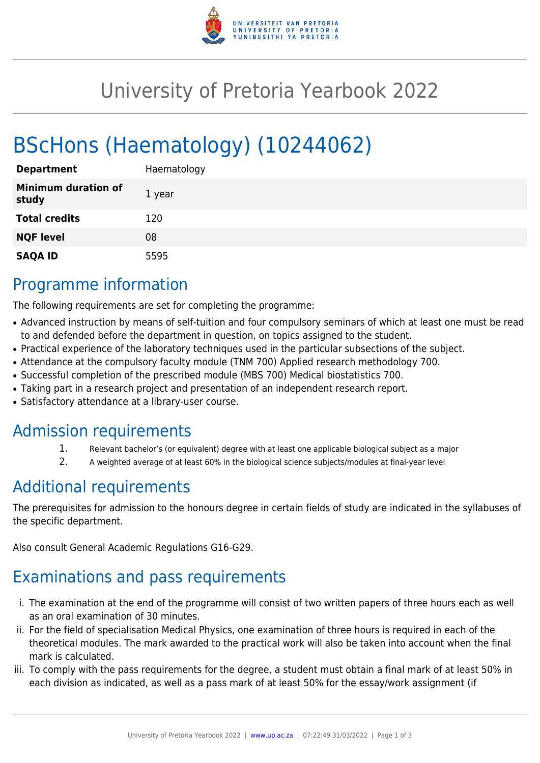

# University of Pretoria Yearbook 2022

# BScHons (Haematology) (10244062)

| <b>Department</b>                   | Haematology |
|-------------------------------------|-------------|
| <b>Minimum duration of</b><br>study | 1 year      |
| <b>Total credits</b>                | 120         |
| <b>NQF level</b>                    | 08          |
| <b>SAQA ID</b>                      | 5595        |

## Programme information

The following requirements are set for completing the programme:

- Advanced instruction by means of self-tuition and four compulsory seminars of which at least one must be read to and defended before the department in question, on topics assigned to the student.
- Practical experience of the laboratory techniques used in the particular subsections of the subject.
- Attendance at the compulsory faculty module (TNM 700) Applied research methodology 700.
- Successful completion of the prescribed module (MBS 700) Medical biostatistics 700.
- Taking part in a research project and presentation of an independent research report.
- Satisfactory attendance at a library-user course.

### Admission requirements

- 1. Relevant bachelor's (or equivalent) degree with at least one applicable biological subject as a major
- 2. A weighted average of at least 60% in the biological science subjects/modules at final-year level

# Additional requirements

The prerequisites for admission to the honours degree in certain fields of study are indicated in the syllabuses of the specific department.

Also consult General Academic Regulations G16-G29.

# Examinations and pass requirements

- i. The examination at the end of the programme will consist of two written papers of three hours each as well as an oral examination of 30 minutes.
- ii. For the field of specialisation Medical Physics, one examination of three hours is required in each of the theoretical modules. The mark awarded to the practical work will also be taken into account when the final mark is calculated.
- iii. To comply with the pass requirements for the degree, a student must obtain a final mark of at least 50% in each division as indicated, as well as a pass mark of at least 50% for the essay/work assignment (if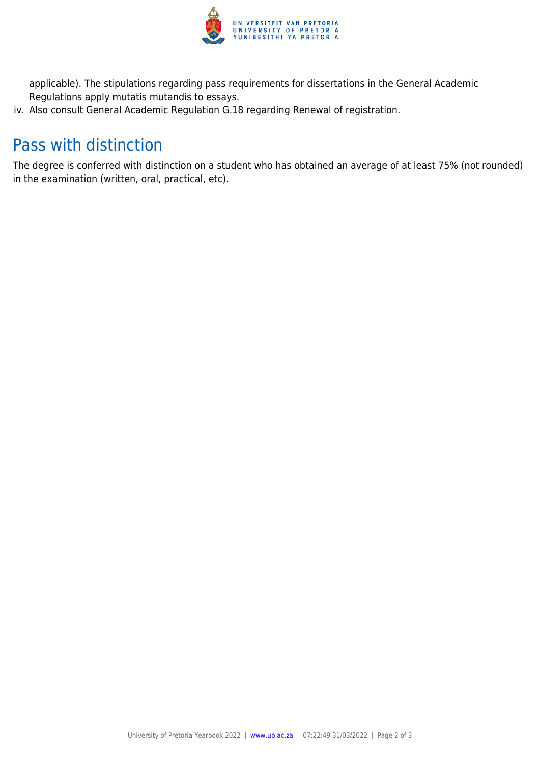

applicable). The stipulations regarding pass requirements for dissertations in the General Academic Regulations apply mutatis mutandis to essays.

iv. Also consult General Academic Regulation G.18 regarding Renewal of registration.

## Pass with distinction

The degree is conferred with distinction on a student who has obtained an average of at least 75% (not rounded) in the examination (written, oral, practical, etc).